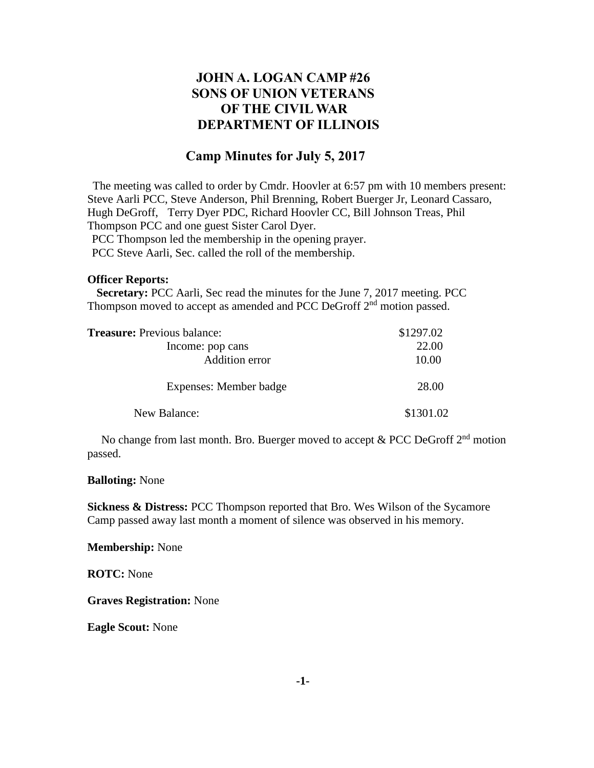# **JOHN A. LOGAN CAMP #26 SONS OF UNION VETERANS OF THE CIVIL WAR DEPARTMENT OF ILLINOIS**

## **Camp Minutes for July 5, 2017**

The meeting was called to order by Cmdr. Hoovler at 6:57 pm with 10 members present: Steve Aarli PCC, Steve Anderson, Phil Brenning, Robert Buerger Jr, Leonard Cassaro, Hugh DeGroff, Terry Dyer PDC, Richard Hoovler CC, Bill Johnson Treas, Phil Thompson PCC and one guest Sister Carol Dyer.

PCC Thompson led the membership in the opening prayer.

PCC Steve Aarli, Sec. called the roll of the membership.

#### **Officer Reports:**

 **Secretary:** PCC Aarli, Sec read the minutes for the June 7, 2017 meeting. PCC Thompson moved to accept as amended and PCC DeGroff 2<sup>nd</sup> motion passed.

| <b>Treasure:</b> Previous balance: | \$1297.02 |
|------------------------------------|-----------|
| Income: pop cans                   | 22.00     |
| Addition error                     | 10.00     |
| Expenses: Member badge             | 28.00     |
| New Balance:                       | \$1301.02 |

No change from last month. Bro. Buerger moved to accept  $& PCC$  DeGroff  $2<sup>nd</sup>$  motion passed.

#### **Balloting:** None

**Sickness & Distress:** PCC Thompson reported that Bro. Wes Wilson of the Sycamore Camp passed away last month a moment of silence was observed in his memory.

**Membership:** None

**ROTC:** None

**Graves Registration:** None

**Eagle Scout:** None